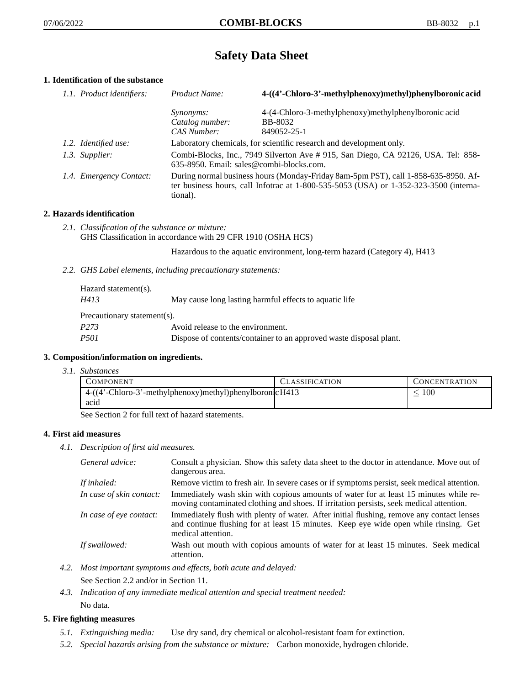# **Safety Data Sheet**

# **1. Identification of the substance**

| 1.1. Product identifiers: | Product Name:                                                                                                                                                                           | 4-((4'-Chloro-3'-methylphenoxy)methyl)phenylboronic acid                                                                         |
|---------------------------|-----------------------------------------------------------------------------------------------------------------------------------------------------------------------------------------|----------------------------------------------------------------------------------------------------------------------------------|
|                           | <i>Synonyms:</i><br>Catalog number:<br>CAS Number:                                                                                                                                      | 4-(4-Chloro-3-methylphenoxy)methylphenylboronic acid<br><b>BB-8032</b><br>849052-25-1                                            |
| 1.2. Identified use:      |                                                                                                                                                                                         | Laboratory chemicals, for scientific research and development only.                                                              |
| 1.3. Supplier:            |                                                                                                                                                                                         | Combi-Blocks, Inc., 7949 Silverton Ave # 915, San Diego, CA 92126, USA. Tel: 858-<br>$635-8950$ . Email: sales@combi-blocks.com. |
| 1.4. Emergency Contact:   | During normal business hours (Monday-Friday 8am-5pm PST), call 1-858-635-8950. Af-<br>ter business hours, call Infotrac at 1-800-535-5053 (USA) or 1-352-323-3500 (interna-<br>tional). |                                                                                                                                  |

# **2. Hazards identification**

*2.1. Classification of the substance or mixture:* GHS Classification in accordance with 29 CFR 1910 (OSHA HCS)

Hazardous to the aquatic environment, long-term hazard (Category 4), H413

*2.2. GHS Label elements, including precautionary statements:*

| Hazard statement(s).        |                                                                    |
|-----------------------------|--------------------------------------------------------------------|
| H413                        | May cause long lasting harmful effects to aquatic life             |
| Precautionary statement(s). |                                                                    |
| P <sub>273</sub>            | Avoid release to the environment.                                  |
| <i>P501</i>                 | Dispose of contents/container to an approved waste disposal plant. |

# **3. Composition/information on ingredients.**

*3.1. Substances*

| COMPONENT                                                | <b>CLASSIFICATION</b> | <b>CONCENTRATION</b> |
|----------------------------------------------------------|-----------------------|----------------------|
| 4-((4'-Chloro-3'-methylphenoxy)methyl)phenylboronic H413 |                       | $100\,$              |
| acid                                                     |                       |                      |
|                                                          |                       |                      |

See Section 2 for full text of hazard statements.

# **4. First aid measures**

*4.1. Description of first aid measures.*

| General advice:          | Consult a physician. Show this safety data sheet to the doctor in attendance. Move out of<br>dangerous area.                                                                                            |
|--------------------------|---------------------------------------------------------------------------------------------------------------------------------------------------------------------------------------------------------|
| If inhaled:              | Remove victim to fresh air. In severe cases or if symptoms persist, seek medical attention.                                                                                                             |
| In case of skin contact: | Immediately wash skin with copious amounts of water for at least 15 minutes while re-<br>moving contaminated clothing and shoes. If irritation persists, seek medical attention.                        |
| In case of eye contact:  | Immediately flush with plenty of water. After initial flushing, remove any contact lenses<br>and continue flushing for at least 15 minutes. Keep eye wide open while rinsing. Get<br>medical attention. |
| If swallowed:            | Wash out mouth with copious amounts of water for at least 15 minutes. Seek medical<br>attention.                                                                                                        |

*4.2. Most important symptoms and effects, both acute and delayed:*

See Section 2.2 and/or in Section 11.

*4.3. Indication of any immediate medical attention and special treatment needed:* No data.

# **5. Fire fighting measures**

- *5.1. Extinguishing media:* Use dry sand, dry chemical or alcohol-resistant foam for extinction.
- *5.2. Special hazards arising from the substance or mixture:* Carbon monoxide, hydrogen chloride.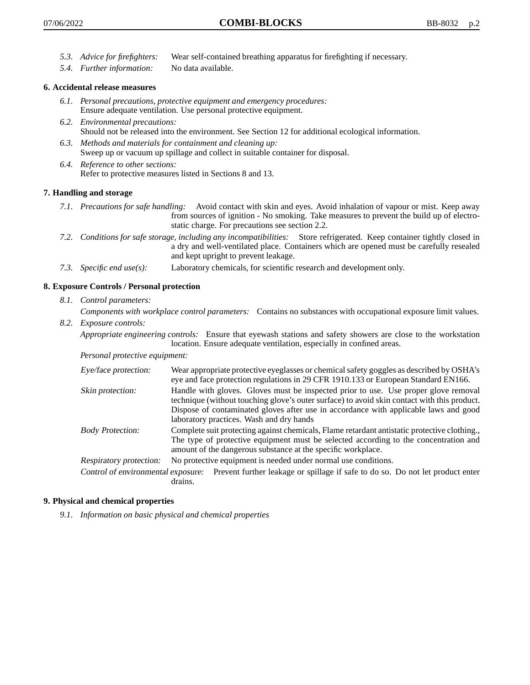- *5.3. Advice for firefighters:* Wear self-contained breathing apparatus for firefighting if necessary.
- *5.4. Further information:* No data available.

### **6. Accidental release measures**

- *6.1. Personal precautions, protective equipment and emergency procedures:* Ensure adequate ventilation. Use personal protective equipment.
- *6.2. Environmental precautions:* Should not be released into the environment. See Section 12 for additional ecological information.
- *6.3. Methods and materials for containment and cleaning up:* Sweep up or vacuum up spillage and collect in suitable container for disposal.
- *6.4. Reference to other sections:* Refer to protective measures listed in Sections 8 and 13.

### **7. Handling and storage**

- *7.1. Precautions for safe handling:* Avoid contact with skin and eyes. Avoid inhalation of vapour or mist. Keep away from sources of ignition - No smoking. Take measures to prevent the build up of electrostatic charge. For precautions see section 2.2.
- *7.2. Conditions for safe storage, including any incompatibilities:* Store refrigerated. Keep container tightly closed in a dry and well-ventilated place. Containers which are opened must be carefully resealed and kept upright to prevent leakage.
- *7.3. Specific end use(s):* Laboratory chemicals, for scientific research and development only.

### **8. Exposure Controls / Personal protection**

*8.1. Control parameters:*

*Components with workplace control parameters:* Contains no substances with occupational exposure limit values.

*8.2. Exposure controls:*

*Appropriate engineering controls:* Ensure that eyewash stations and safety showers are close to the workstation location. Ensure adequate ventilation, especially in confined areas.

*Personal protective equipment:*

| Eye/face protection:    | Wear appropriate protective eyeglasses or chemical safety goggles as described by OSHA's<br>eye and face protection regulations in 29 CFR 1910.133 or European Standard EN166.                                                                                                                                         |  |
|-------------------------|------------------------------------------------------------------------------------------------------------------------------------------------------------------------------------------------------------------------------------------------------------------------------------------------------------------------|--|
| Skin protection:        | Handle with gloves. Gloves must be inspected prior to use. Use proper glove removal<br>technique (without touching glove's outer surface) to avoid skin contact with this product.<br>Dispose of contaminated gloves after use in accordance with applicable laws and good<br>laboratory practices. Wash and dry hands |  |
| <b>Body Protection:</b> | Complete suit protecting against chemicals, Flame retardant antistatic protective clothing.<br>The type of protective equipment must be selected according to the concentration and<br>amount of the dangerous substance at the specific workplace.                                                                    |  |
| Respiratory protection: | No protective equipment is needed under normal use conditions.                                                                                                                                                                                                                                                         |  |
|                         | Control of environmental exposure: Prevent further leakage or spillage if safe to do so. Do not let product enter                                                                                                                                                                                                      |  |

#### **9. Physical and chemical properties**

*9.1. Information on basic physical and chemical properties*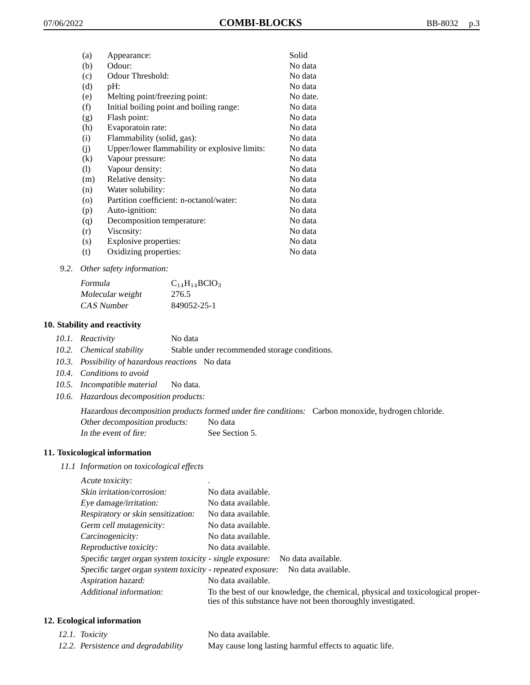| (a)                | Appearance:                                   | Solid    |
|--------------------|-----------------------------------------------|----------|
| (b)                | Odour:                                        | No data  |
| (c)                | Odour Threshold:                              | No data  |
| (d)                | pH:                                           | No data  |
| (e)                | Melting point/freezing point:                 | No date. |
| (f)                | Initial boiling point and boiling range:      | No data  |
| (g)                | Flash point:                                  | No data  |
| (h)                | Evaporatoin rate:                             | No data  |
| (i)                | Flammability (solid, gas):                    | No data  |
| (j)                | Upper/lower flammability or explosive limits: | No data  |
| $\left( k\right)$  | Vapour pressure:                              | No data  |
| (1)                | Vapour density:                               | No data  |
| (m)                | Relative density:                             | No data  |
| (n)                | Water solubility:                             | No data  |
| $\left( 0 \right)$ | Partition coefficient: n-octanol/water:       | No data  |
| (p)                | Auto-ignition:                                | No data  |
| (q)                | Decomposition temperature:                    | No data  |
| (r)                | Viscosity:                                    | No data  |
| (s)                | Explosive properties:                         | No data  |
| (t)                | Oxidizing properties:                         | No data  |
|                    |                                               |          |

*9.2. Other safety information:*

| Formula          | $C_{14}H_{14}BCIO_3$ |
|------------------|----------------------|
| Molecular weight | 276.5                |
| CAS Number       | 849052-25-1          |

#### **10. Stability and reactivity**

- *10.1. Reactivity* No data
- *10.2. Chemical stability* Stable under recommended storage conditions.
- *10.3. Possibility of hazardous reactions* No data
- *10.4. Conditions to avoid*
- *10.5. Incompatible material* No data.
- *10.6. Hazardous decomposition products:*

Hazardous decomposition products formed under fire conditions: Carbon monoxide, hydrogen chloride. Other decomposition products: No data In the event of fire: See Section 5.

# **11. Toxicological information**

*11.1 Information on toxicological effects*

Acute toxicity: Skin irritation/corrosion: No data available. Eye damage/irritation: No data available. Respiratory or skin sensitization: No data available. Germ cell mutagenicity: No data available. Carcinogenicity: No data available. Reproductive toxicity: No data available. Specific target organ system toxicity - single exposure: No data available. Specific target organ system toxicity - repeated exposure: No data available. Aspiration hazard: No data available. Additional information: To the best of our knowledge, the chemical, physical and toxicological properties of this substance have not been thoroughly investigated.

## **12. Ecological information**

| 12.1. Toxicity                      | No data available.                                      |
|-------------------------------------|---------------------------------------------------------|
| 12.2. Persistence and degradability | May cause long lasting harmful effects to aquatic life. |